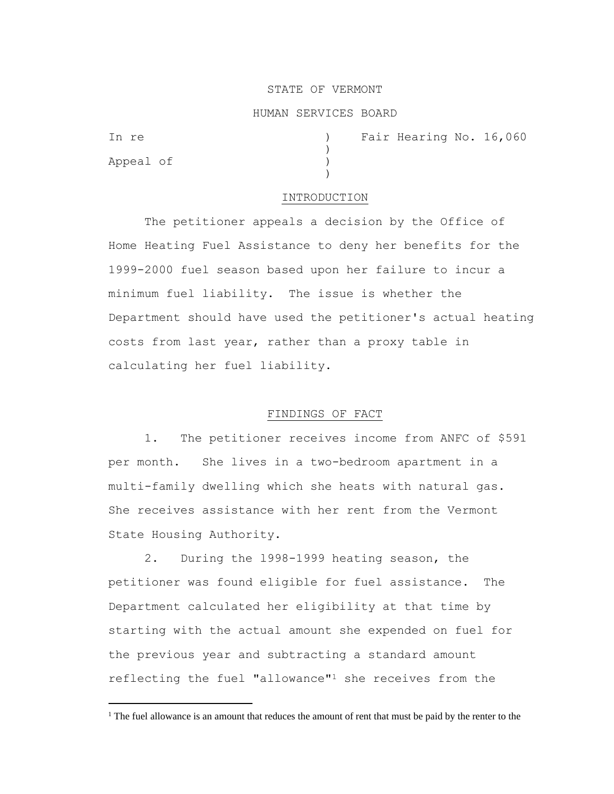# STATE OF VERMONT

#### HUMAN SERVICES BOARD

)

)

Appeal of )

In re (1992) The Pair Hearing No. 16,060

#### INTRODUCTION

The petitioner appeals a decision by the Office of Home Heating Fuel Assistance to deny her benefits for the 1999-2000 fuel season based upon her failure to incur a minimum fuel liability. The issue is whether the Department should have used the petitioner's actual heating costs from last year, rather than a proxy table in calculating her fuel liability.

## FINDINGS OF FACT

1. The petitioner receives income from ANFC of \$591 per month. She lives in a two-bedroom apartment in a multi-family dwelling which she heats with natural gas. She receives assistance with her rent from the Vermont State Housing Authority.

2. During the l998-1999 heating season, the petitioner was found eligible for fuel assistance. The Department calculated her eligibility at that time by starting with the actual amount she expended on fuel for the previous year and subtracting a standard amount reflecting the fuel "allowance"<sup>1</sup> she receives from the

<sup>&</sup>lt;sup>1</sup> The fuel allowance is an amount that reduces the amount of rent that must be paid by the renter to the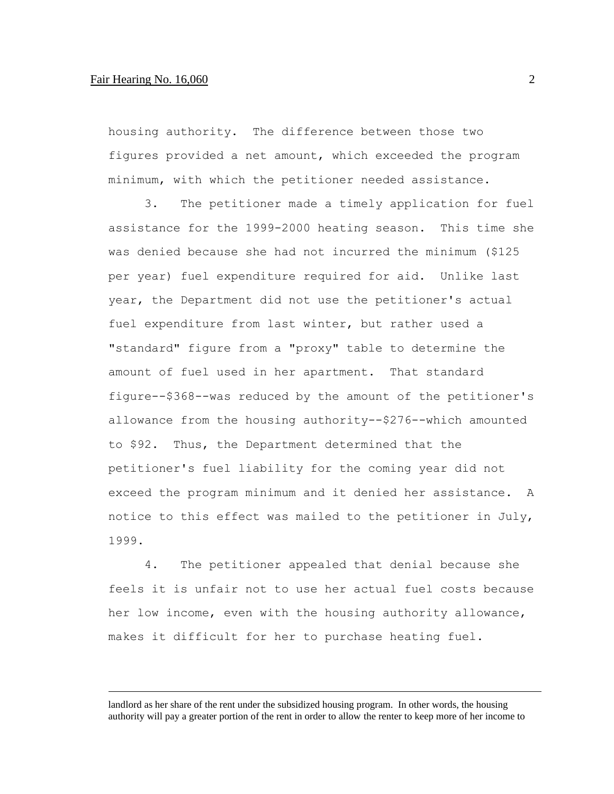## Fair Hearing No. 16,060 2

housing authority. The difference between those two figures provided a net amount, which exceeded the program minimum, with which the petitioner needed assistance.

3. The petitioner made a timely application for fuel assistance for the 1999-2000 heating season. This time she was denied because she had not incurred the minimum (\$125 per year) fuel expenditure required for aid. Unlike last year, the Department did not use the petitioner's actual fuel expenditure from last winter, but rather used a "standard" figure from a "proxy" table to determine the amount of fuel used in her apartment. That standard figure--\$368--was reduced by the amount of the petitioner's allowance from the housing authority--\$276--which amounted to \$92. Thus, the Department determined that the petitioner's fuel liability for the coming year did not exceed the program minimum and it denied her assistance. A notice to this effect was mailed to the petitioner in July, 1999.

4. The petitioner appealed that denial because she feels it is unfair not to use her actual fuel costs because her low income, even with the housing authority allowance, makes it difficult for her to purchase heating fuel.

landlord as her share of the rent under the subsidized housing program. In other words, the housing authority will pay a greater portion of the rent in order to allow the renter to keep more of her income to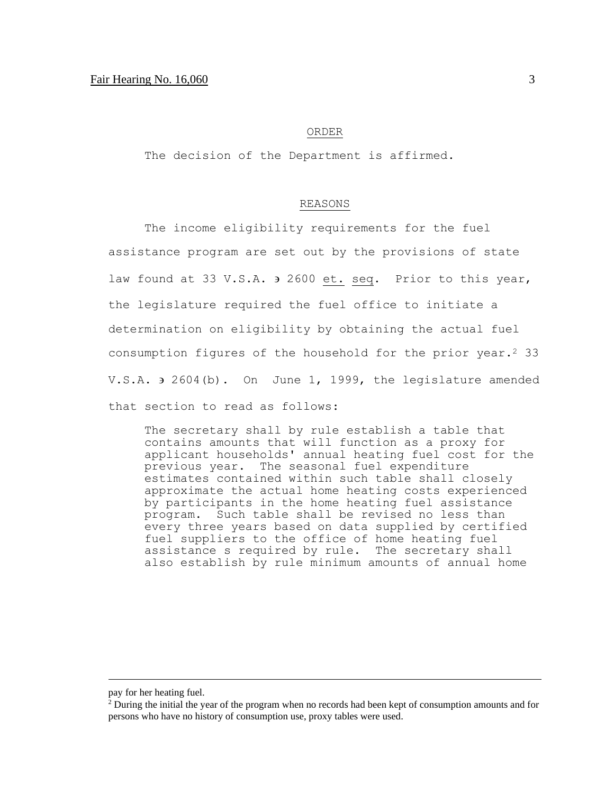#### ORDER

The decision of the Department is affirmed.

## REASONS

The income eligibility requirements for the fuel assistance program are set out by the provisions of state law found at 33 V.S.A.  $\overline{2}$  2600 et. seq. Prior to this year, the legislature required the fuel office to initiate a determination on eligibility by obtaining the actual fuel consumption figures of the household for the prior year.<sup>2</sup> 33 V.S.A.  $\theta$  2604(b). On June 1, 1999, the legislature amended that section to read as follows:

The secretary shall by rule establish a table that contains amounts that will function as a proxy for applicant households' annual heating fuel cost for the previous year. The seasonal fuel expenditure estimates contained within such table shall closely approximate the actual home heating costs experienced by participants in the home heating fuel assistance program. Such table shall be revised no less than every three years based on data supplied by certified fuel suppliers to the office of home heating fuel assistance s required by rule. The secretary shall also establish by rule minimum amounts of annual home

pay for her heating fuel.

<sup>&</sup>lt;sup>2</sup> During the initial the year of the program when no records had been kept of consumption amounts and for persons who have no history of consumption use, proxy tables were used.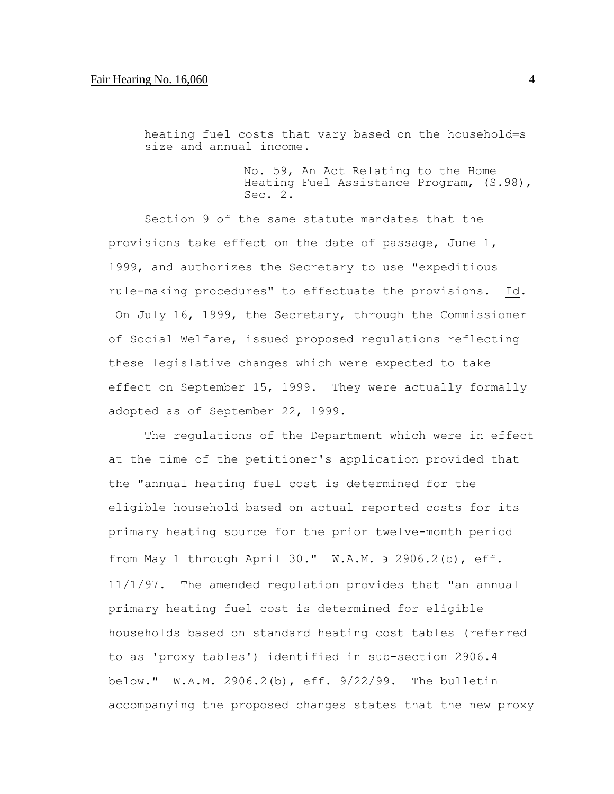# Fair Hearing No. 16,060 4

heating fuel costs that vary based on the household=s size and annual income.

> No. 59, An Act Relating to the Home Heating Fuel Assistance Program, (S.98), Sec. 2.

Section 9 of the same statute mandates that the provisions take effect on the date of passage, June 1, 1999, and authorizes the Secretary to use "expeditious rule-making procedures" to effectuate the provisions. Id. On July 16, 1999, the Secretary, through the Commissioner of Social Welfare, issued proposed regulations reflecting these legislative changes which were expected to take effect on September 15, 1999. They were actually formally adopted as of September 22, 1999.

The regulations of the Department which were in effect at the time of the petitioner's application provided that the "annual heating fuel cost is determined for the eligible household based on actual reported costs for its primary heating source for the prior twelve-month period from May 1 through April 30."  $W.A.M.$   $\rightarrow$  2906.2(b), eff. 11/1/97. The amended regulation provides that "an annual primary heating fuel cost is determined for eligible households based on standard heating cost tables (referred to as 'proxy tables') identified in sub-section 2906.4 below." W.A.M. 2906.2(b), eff. 9/22/99. The bulletin accompanying the proposed changes states that the new proxy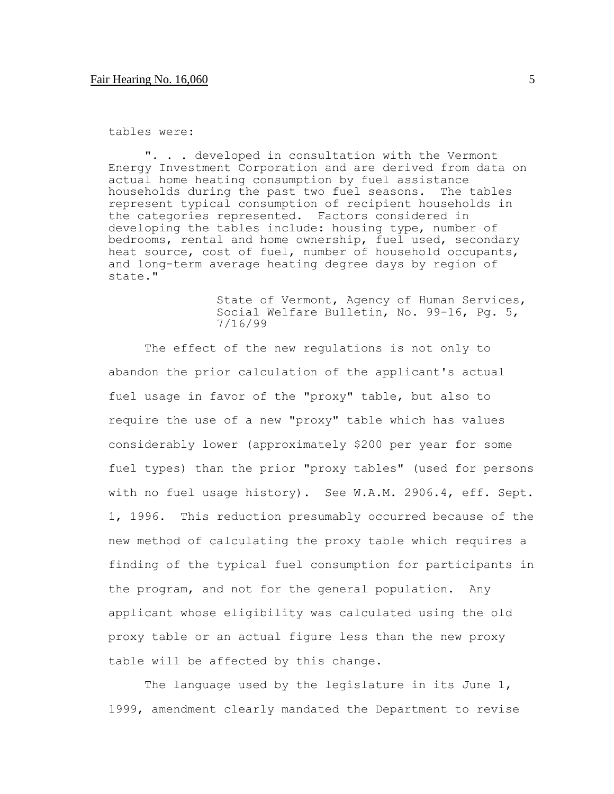tables were:

". . . developed in consultation with the Vermont Energy Investment Corporation and are derived from data on actual home heating consumption by fuel assistance households during the past two fuel seasons. The tables represent typical consumption of recipient households in the categories represented. Factors considered in developing the tables include: housing type, number of bedrooms, rental and home ownership, fuel used, secondary heat source, cost of fuel, number of household occupants, and long-term average heating degree days by region of state."

> State of Vermont, Agency of Human Services, Social Welfare Bulletin, No. 99-16, Pg. 5, 7/16/99

The effect of the new regulations is not only to abandon the prior calculation of the applicant's actual fuel usage in favor of the "proxy" table, but also to require the use of a new "proxy" table which has values considerably lower (approximately \$200 per year for some fuel types) than the prior "proxy tables" (used for persons with no fuel usage history). See W.A.M. 2906.4, eff. Sept. 1, 1996. This reduction presumably occurred because of the new method of calculating the proxy table which requires a finding of the typical fuel consumption for participants in the program, and not for the general population. Any applicant whose eligibility was calculated using the old proxy table or an actual figure less than the new proxy table will be affected by this change.

The language used by the legislature in its June 1, 1999, amendment clearly mandated the Department to revise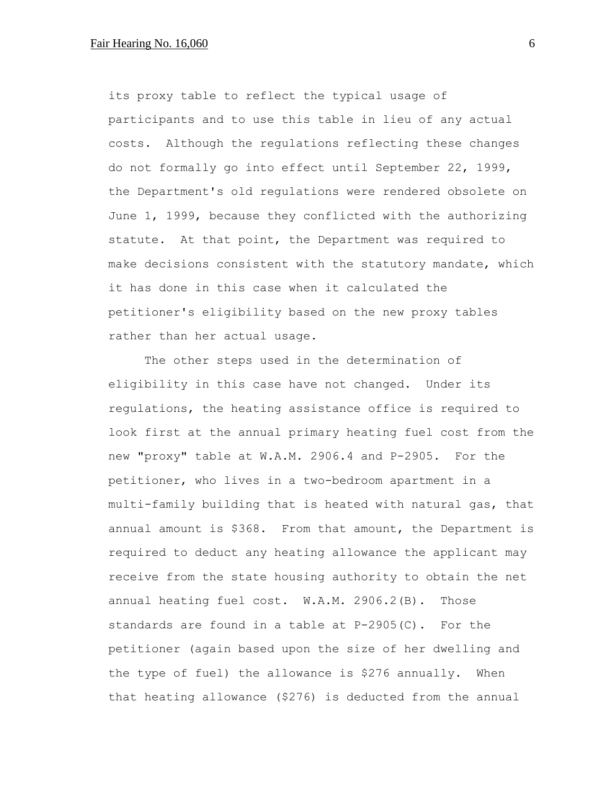its proxy table to reflect the typical usage of participants and to use this table in lieu of any actual costs. Although the regulations reflecting these changes do not formally go into effect until September 22, 1999, the Department's old regulations were rendered obsolete on June 1, 1999, because they conflicted with the authorizing statute. At that point, the Department was required to make decisions consistent with the statutory mandate, which it has done in this case when it calculated the petitioner's eligibility based on the new proxy tables rather than her actual usage.

The other steps used in the determination of eligibility in this case have not changed. Under its regulations, the heating assistance office is required to look first at the annual primary heating fuel cost from the new "proxy" table at W.A.M. 2906.4 and P-2905. For the petitioner, who lives in a two-bedroom apartment in a multi-family building that is heated with natural gas, that annual amount is \$368. From that amount, the Department is required to deduct any heating allowance the applicant may receive from the state housing authority to obtain the net annual heating fuel cost. W.A.M. 2906.2(B). Those standards are found in a table at P-2905(C). For the petitioner (again based upon the size of her dwelling and the type of fuel) the allowance is \$276 annually. When that heating allowance (\$276) is deducted from the annual